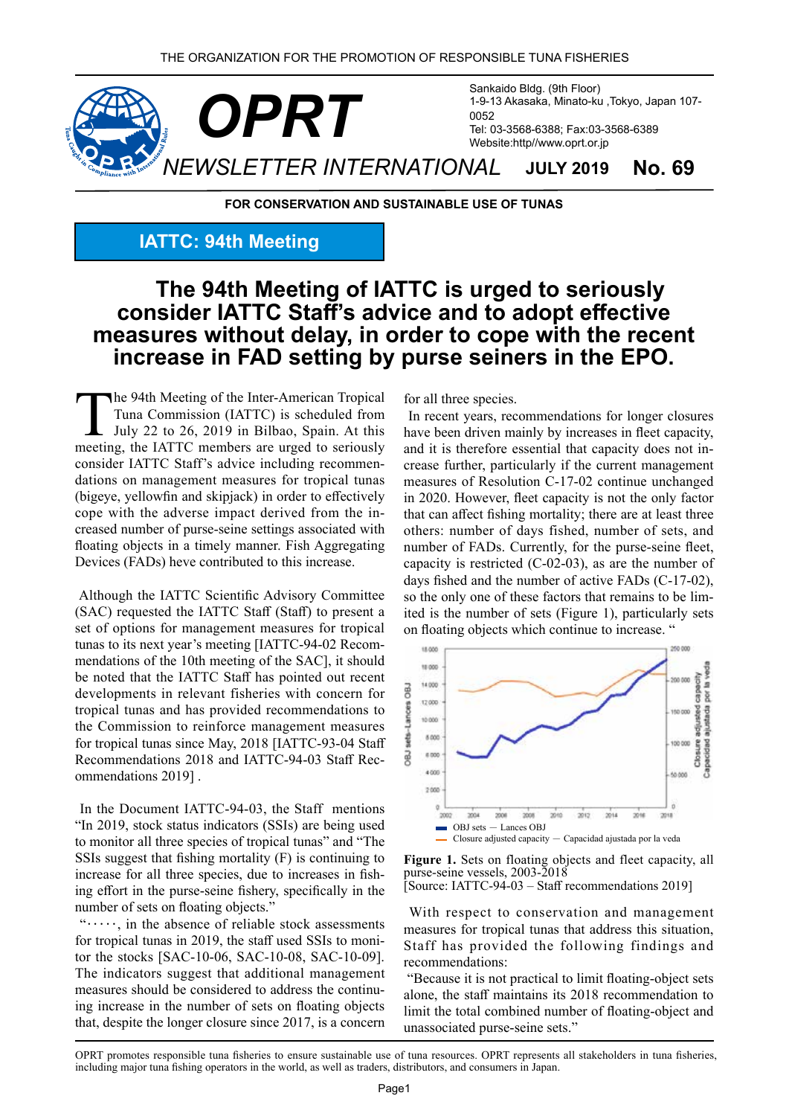

**FOR CONSERVATION AND SUSTAINABLE USE OF TUNAS** 

## **IATTC: 94th Meeting**

# The 94th Meeting of IATTC is urged to seriously consider **IATTC** Staff's advice and to adopt effective measures without delay, in order to cope with the recent increase in FAD setting by purse seiners in the EPO.

The 94th Meeting of the Inter-American Tropical Tuna Commission (IATTC) is scheduled from July 22 to 26, 2019 in Bilbao, Spain. At this meeting, the IATTC members are urged to seriously dations on management measures for tropical tunas consider IATTC Staff's advice including recommen-(bigeye, yellowfin and skipjack) in order to effectively creased number of purse-seine settings associated with cope with the adverse impact derived from the infloating objects in a timely manner. Fish Aggregating Devices (FADs) heve contributed to this increase.

Although the IATTC Scientific Advisory Committee (SAC) requested the IATTC Staff (Staff) to present a set of options for management measures for tropical tunas to its next year's meeting [IATTC-94-02 Recom-<br>mendations of the 10th meeting of the SAC], it should be noted that the IATTC Staff has pointed out recent developments in relevant fisheries with concern for tropical tunas and has provided recommendations to the Commission to reinforce management measures for tropical tunas since May,  $2018$  [IATTC-93-04 Staff] Recommendations 2018 and IATTC-94-03 Staff Rec-<br>ommendations 2019].

In the Document IATTC-94-03, the Staff mentions "In 2019, stock status indicators (SSIs) are being used to monitor all three species of tropical tunas" and "The SSIs suggest that fishing mortality  $(F)$  is continuing to ing effort in the purse-seine fishery, specifically in the increase for all three species, due to increases in fishnumber of sets on floating objects."

 $"\cdots$ , in the absence of reliable stock assessments tor the stocks [SAC-10-06, SAC-10-08, SAC-10-09]. for tropical tunas in 2019, the staff used SSIs to moni-The indicators suggest that additional management ing increase in the number of sets on floating objects measures should be considered to address the continuthat, despite the longer closure since  $2017$ , is a concern for all three species.

In recent years, recommendations for longer closures have been driven mainly by increases in fleet capacity, crease further, particularly if the current management and it is therefore essential that capacity does not inmeasures of Resolution C-17-02 continue unchanged in 2020. However, fleet capacity is not the only factor that can affect fishing mortality; there are at least three others: number of days fished, number of sets, and number of FADs. Currently, for the purse-seine fleet, capacity is restricted  $(C-02-03)$ , as are the number of days fished and the number of active FADs  $(C-17-02)$ , ited is the number of sets (Figure 1), particularly sets so the only one of these factors that remains to be limon floating objects which continue to increase. "



Figure 1. Sets on floating objects and fleet capacity, all purse-seine vessels, 2003-2018 [Source: IATTC-94-03 – Staff recommendations 2019]

With respect to conservation and management measures for tropical tunas that address this situation, Staff has provided the following findings and :recommendations

"Because it is not practical to limit floating-object sets alone, the staff maintains its 2018 recommendation to limit the total combined number of floating-object and unassociated purse-seine sets."

OPRT promotes responsible tuna fisheries to ensure sustainable use of tuna resources. OPRT represents all stakeholders in tuna fisheries, including major tuna fishing operators in the world, as well as traders, distributors, and consumers in Japan.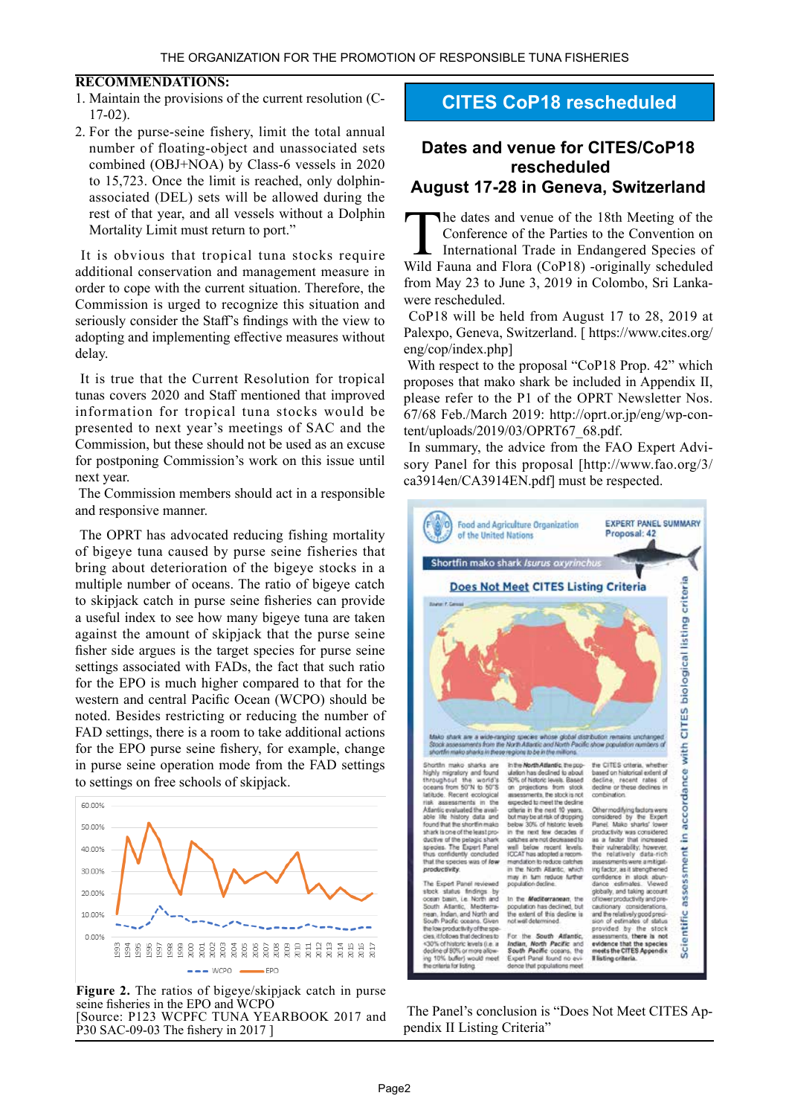### **:RECOMMENDATIONS**

- 1. Maintain the provisions of the current resolution (C-<br>17-02).
- 2. For the purse-seine fishery, limit the total annual number of floating-object and unassociated sets combined (OBJ+NOA) by Class-6 vessels in 2020 to 15,723. Once the limit is reached, only dolphin-<br>associated (DEL) sets will be allowed during the rest of that year, and all vessels without a Dolphin Mortality Limit must return to port."

It is obvious that tropical tuna stocks require additional conservation and management measure in order to cope with the current situation. Therefore, the Commission is urged to recognize this situation and seriously consider the Staff's findings with the view to adopting and implementing effective measures without delay.

It is true that the Current Resolution for tropical tunas covers 2020 and Staff mentioned that improved information for tropical tuna stocks would be presented to next year's meetings of SAC and the Commission, but these should not be used as an excuse for postponing Commission's work on this issue until next year.

The Commission members should act in a responsible and responsive manner.

The OPRT has advocated reducing fishing mortality of bigeye tuna caused by purse seine fisheries that bring about deterioration of the bigeye stocks in a multiple number of oceans. The ratio of bigeye catch to skipjack catch in purse seine fisheries can provide a useful index to see how many bigeye tuna are taken against the amount of skipjack that the purse seine fisher side argues is the target species for purse seine settings associated with FADs, the fact that such ratio for the EPO is much higher compared to that for the western and central Pacific Ocean (WCPO) should be noted. Besides restricting or reducing the number of FAD settings, there is a room to take additional actions for the EPO purse seine fishery, for example, change in purse seine operation mode from the FAD settings to settings on free schools of skipjack.



Figure 2. The ratios of bigeye/skipjack catch in purse seine fisheries in the EPO and WCPO [Source: P123 WCPFC TUNA YEARBOOK 2017 and  $[30 SAC-09-03]$  The fishery in 2017

## **CITES CoP18 rescheduled**

### **Dates and venue for CITES/CoP18 rescheduled August 17-28 in Geneva, Switzerland**

The dates and venue of the 18th Meeting of the Conference of the Parties to the Convention on International Trade in Endangered Species of Wild Fauna and Flora (CoP18) -originally scheduled from May 23 to June 3, 2019 in Colombo, Sri Lanka-<br>were rescheduled.

CoP18 will be held from August 17 to 28, 2019 at Palexpo, Geneva, Switzerland. [ https://www.cites.org/  $eng/cop/index.php$ ]

With respect to the proposal "CoP18 Prop. 42" which proposes that mako shark be included in Appendix II, please refer to the P1 of the OPRT Newsletter Nos. 67/68 Feb./March 2019: http://oprt.or.jp/eng/wp-con-<br>tent/uploads/2019/03/OPRT67\_68.pdf.

In summary, the advice from the FAO Expert Advisory Panel for this proposal [http://www.fao.org/3/ ca3914en/CA3914EN.pdf] must be respected.



The Panel's conclusion is "Does Not Meet CITES Appendix II Listing Criteria"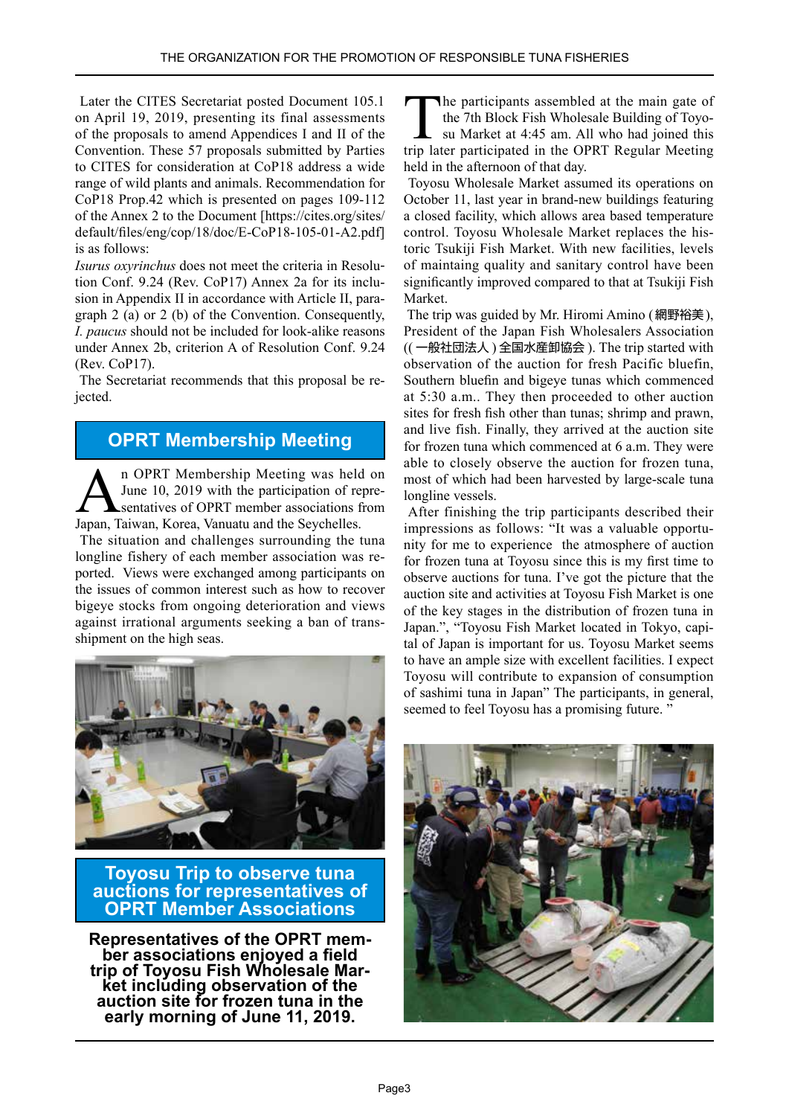Later the CITES Secretariat posted Document 105.1 on April 19, 2019, presenting its final assessments of the proposals to amend Appendices I and II of the Convention. These 57 proposals submitted by Parties to CITES for consideration at CoP18 address a wide range of wild plants and animals. Recommendation for  $CoP18$  Prop.42 which is presented on pages 109-112 of the Annex 2 to the Document [https://cites.org/sites/ default/files/eng/cop/18/doc/E-CoP18-105-01-A2.pdf] is as follows:

graph  $2$  (a) or  $2$  (b) of the Convention. Consequently, sion in Appendix II in accordance with Article II, paration Conf. 9.24 (Rev. CoP17) Annex 2a for its inclu-Isurus *oxyrinchus* does not meet the criteria in Resolu-*I. paucus* should not be included for look-alike reasons under Annex 2b, criterion A of Resolution Conf. 9.24  $(Rev. CoP17).$ 

The Secretariat recommends that this proposal be re-<br>jected.

# **OPRT Membership Meeting**

n OPRT Membership Meeting was held on<br>June 10, 2019 with the participation of repre-<br>sentatives of OPRT member associations from June 10, 2019 with the participation of representatives of OPRT member associations from Japan, Taiwan, Korea, Vanuatu and the Seychelles.

The situation and challenges surrounding the tuna ported. Views were exchanged among participants on longline fishery of each member association was rethe issues of common interest such as how to recover bigeve stocks from ongoing deterioration and views against irrational arguments seeking a ban of trans-<br>shipment on the high seas.



**Toyosu Trip to observe tuna auctions for representatives of ADEXT Member Associations** 

**Representatives of the OPRT mem-<br>ber associations enjoyed a field trip of Toyosu Fish Wholesale Mar-**<br>**Ret including observation of the auction site for frozen tuna in the 2019. 12019 Parally morning of June 11, 2019.** 

The participants assembled at the main gate of su Market at 4:45 am. All who had joined this the 7th Block Fish Wholesale Building of Toyotrip later participated in the OPRT Regular Meeting held in the afternoon of that day.

Toyosu Wholesale Market assumed its operations on October 11, last year in brand-new buildings featuring a closed facility, which allows area based temperature control. Toyosu Wholesale Market replaces the historic Tsukiji Fish Market. With new facilities, levels of maintaing quality and sanitary control have been significantly improved compared to that at Tsukiji Fish Market.

The trip was guided by Mr. Hiromi Amino (網野裕美), President of the Japan Fish Wholesalers Association  $(( -\frac{1}{2})$ 般社団法人) 全国水産卸協会 ). The trip started with observation of the auction for fresh Pacific bluefin, Southern bluefin and bigeye tunas which commenced at  $5:30$  a.m.. They then proceeded to other auction sites for fresh fish other than tunas; shrimp and prawn, and live fish. Finally, they arrived at the auction site for frozen tuna which commenced at  $6$  a.m. They were able to closely observe the auction for frozen tuna, most of which had been harvested by large-scale tuna longline vessels.

After finishing the trip participants described their impressions as follows: "It was a valuable opportunity for me to experience the atmosphere of auction for frozen tuna at Toyosu since this is my first time to observe auctions for tuna. I've got the picture that the auction site and activities at Toyosu Fish Market is one of the key stages in the distribution of frozen tuna in tal of Japan is important for us. Toyosu Market seems Japan.", "Toyosu Fish Market located in Tokyo, capito have an ample size with excellent facilities. I expect Tovosu will contribute to expansion of consumption of sashimi tuna in Japan" The participants, in general, seemed to feel Toyosu has a promising future."